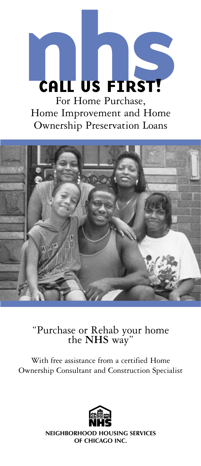

"Purchase or Rehab your home the **NHS** way"

With free assistance from a certified Home Ownership Consultant and Construction Specialist



**NEIGHBORHOOD HOUSING SERVICES OF CHICAGO INC.**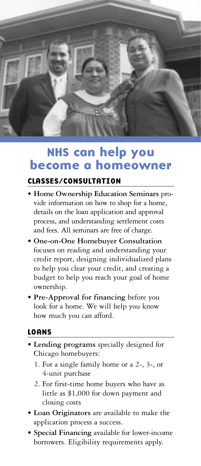

## NHS can help you become a homeowner

#### CLASSES/CONSULTATION

- **Home Ownership Education Seminars** provide information on how to shop for a home, details on the loan application and approval process, and understanding settlement costs and fees. All seminars are free of charge.
- **One-on-One Homebuyer Consultation** focuses on reading and understanding your credit report, designing individualized plans to help you clear your credit, and creating a budget to help you reach your goal of home ownership.
- **Pre-Approval for financing** before you look for a home. We will help you know how much you can afford.

#### LOANS

- **Lending programs** specially designed for Chicago homebuyers:
	- 1. For a single family home or a 2-, 3-, or 4-unit purchase
	- 2. For first-time home buyers who have as little as \$1,000 for down payment and closing costs
- **Loan Originators** are available to make the application process a success.
- **Special Financing** available for lower-income borrowers. Eligibility requirements apply.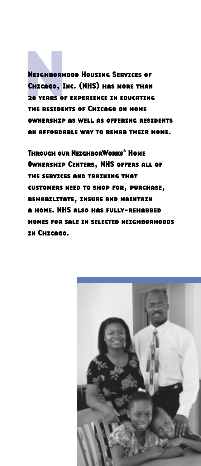Neighborhood Housing Services of<br>Chicago, Inc. (NHS) has more than<br>28 Years of Experience in Educatine<br>The Residents of Chicago on Home Chicago, Inc. (NHS) has more than 28 years of experience in educating the residents of Chicago on home ownershipas well as offering residents an affordable way to rehab their home.

Through our NeighborWorks® Home Ownership Centers, NHS offers all of the services and training that customers need to shop for, purchase, rehabilitate, insure and maintain a home. NHS also has fully-rehabbed homes for sale in selected neighborhoods in Chicago.

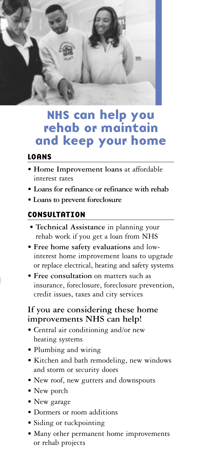

## NHS can help you rehab or maintain and keep your home

#### LOANS

- **Home Improvement loans** at affordable interest rates
- **Loans for refinance or refinance with rehab**
- **Loans to prevent foreclosure**

#### **CONSULTATION**

- **Technical Assistance** in planning your rehab work if you get a loan from NHS
- **Free home safety evaluations** and lowinterest home improvement loans to upgrade or replace electrical, heating and safety systems
- **Free consultation** on matters such as insurance, foreclosure, foreclosure prevention, credit issues, taxes and city services

#### **If you are considering these home improvements NHS can help!**

- Central air conditioning and/or new heating systems
- Plumbing and wiring
- Kitchen and bath remodeling, new windows and storm or security doors
- New roof, new gutters and downspouts
- New porch
- New garage
- Dormers or room additions
- Siding or tuckpointing
- Many other permanent home improvements or rehab projects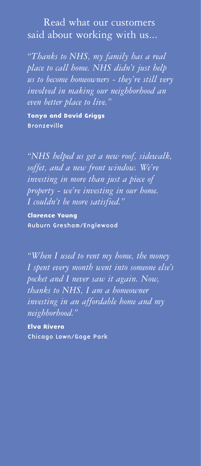### Read what our customers said about working with us...

*"Thanks to NHS, my family has a real place to call home. NHS didn't just help us to become homeowners - they're still very involved in making our neighborhood an even better place to live."*

Tonya and David Griggs Bronzeville

*"NHS helped us get a new roof, sidewalk, soffet, and a new front window. We're investing in more than just a piece of property - we're investing in our home. I couldn't be more satisfied."*

Clarence Young Auburn Gresham/Englewood

*"When I used to rent my home, the money I spent every month went into someone else's pocket and I never saw it again. Now, thanks to NHS, I am a homeowner investing in an affordable home and my neighborhood."*

Elva Rivera Chicago Lawn/Gage Park